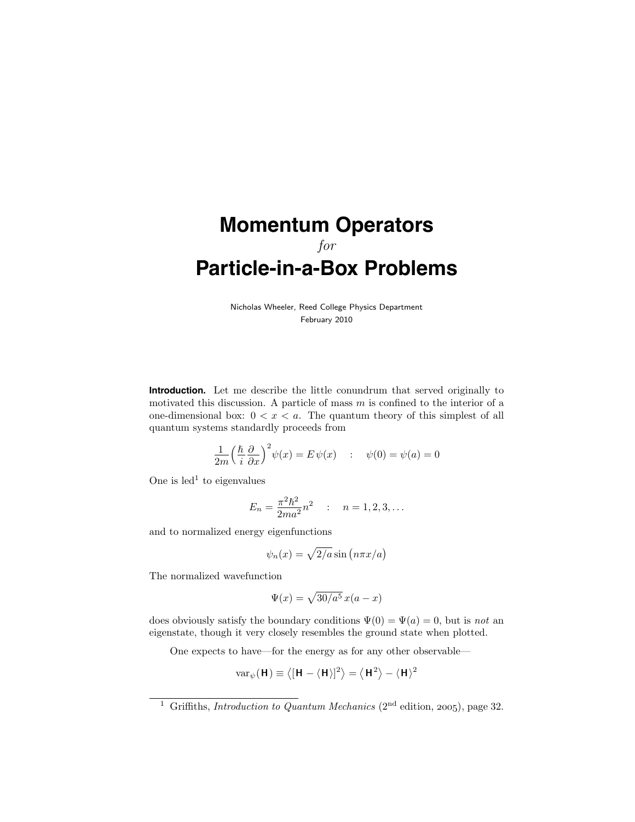## **Momentum Operators** for **Particle-in-a-Box Problems**

Nicholas Wheeler, Reed College Physics Department February 2010

**Introduction.** Let me describe the little conundrum that served originally to motivated this discussion. A particle of mass  $m$  is confined to the interior of a one-dimensional box:  $0 < x < a$ . The quantum theory of this simplest of all quantum systems standardly proceeds from

$$
\frac{1}{2m} \left(\frac{\hbar}{i} \frac{\partial}{\partial x}\right)^2 \psi(x) = E \psi(x) \quad : \quad \psi(0) = \psi(a) = 0
$$

One is  $led<sup>1</sup>$  to eigenvalues

$$
E_n = \frac{\pi^2 \hbar^2}{2ma^2} n^2 \qquad ; \qquad n = 1, 2, 3, \dots
$$

and to normalized energy eigenfunctions

$$
\psi_n(x) = \sqrt{2/a} \sin\left(n\pi x/a\right)
$$

The normalized wavefunction

$$
\Psi(x) = \sqrt{30/a^5} \, x(a-x)
$$

does obviously satisfy the boundary conditions  $\Psi(0) = \Psi(a) = 0$ , but is not an eigenstate, though it very closely resembles the ground state when plotted.

One expects to have—for the energy as for any other observable—

$$
\mathrm{var}_\psi(\mathbf{H})\equiv\left\langle [\mathbf{H}-\langle\mathbf{H}\rangle]^2\right\rangle=\left\langle \mathbf{H}^2\right\rangle-\langle\mathbf{H}\rangle^2
$$

<sup>&</sup>lt;sup>1</sup> Griffiths, *Introduction to Quantum Mechanics* ( $2<sup>nd</sup>$  edition, 2005), page 32.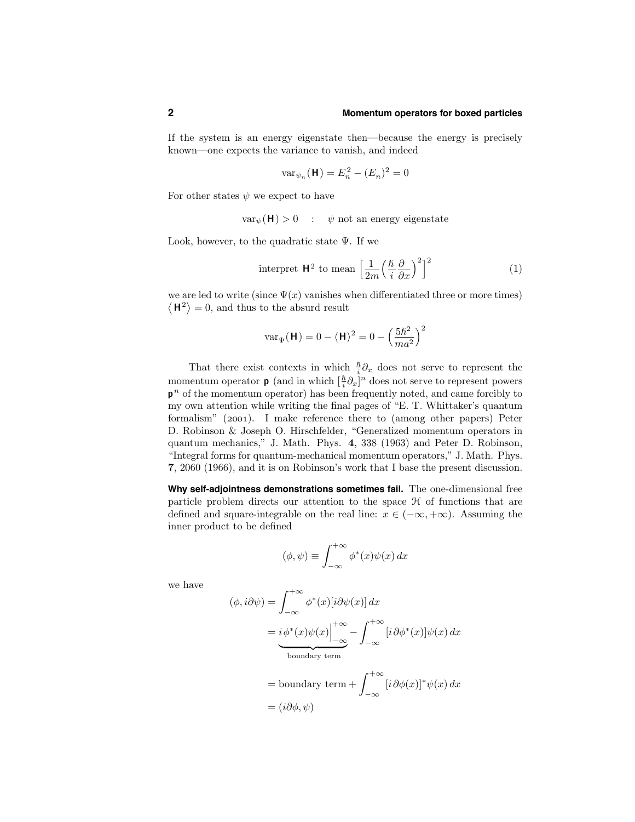## **2 Momentum operators for boxed particles**

If the system is an energy eigenstate then—because the energy is precisely known—one expects the variance to vanish, and indeed

$$
\text{var}_{\psi_n}(\mathbf{H}) = E_n^2 - (E_n)^2 = 0
$$

For other states  $\psi$  we expect to have

 $var_{\psi}(\mathbf{H}) > 0$  :  $\psi$  not an energy eigenstate

Look, however, to the quadratic state  $\Psi$ . If we

$$
\text{ interpret } \mathsf{H}^2 \text{ to mean } \left[ \frac{1}{2m} \left( \frac{\hbar}{i} \frac{\partial}{\partial x} \right)^2 \right]^2 \tag{1}
$$

we are led to write (since  $\Psi(x)$  vanishes when differentiated three or more times)  $\langle H^2 \rangle = 0$ , and thus to the absurd result

$$
\text{var}_{\Psi}(\mathbf{H}) = 0 - \langle \mathbf{H} \rangle^2 = 0 - \left(\frac{5\hbar^2}{ma^2}\right)^2
$$

That there exist contexts in which  $\frac{\hbar}{i}\partial_x$  does not serve to represent the momentum operator **p** (and in which  $\left[\frac{\hbar}{i}\partial_x\right]^n$  does not serve to represent powers  $p^n$  of the momentum operator) has been frequently noted, and came forcibly to my own attention while writing the final pages of "E. T. Whittaker's quantum formalism" (2001). I make reference there to (among other papers) Peter D. Robinson & Joseph O. Hirschfelder, "Generalized momentum operators in quantum mechanics," J. Math. Phys. 4, 338 (1963) and Peter D. Robinson, "Integral forms for quantum-mechanical momentum operators," J. Math. Phys. 7, 2060 (1966), and it is on Robinson's work that I base the present discussion.

**Why self-adjointness demonstrations sometimes fail.** The one-dimensional free particle problem directs our attention to the space  $H$  of functions that are defined and square-integrable on the real line:  $x \in (-\infty, +\infty)$ . Assuming the inner product to be defined

$$
(\phi, \psi) \equiv \int_{-\infty}^{+\infty} \phi^*(x) \psi(x) \, dx
$$

we have

$$
(\phi, i\partial\psi) = \int_{-\infty}^{+\infty} \phi^*(x)[i\partial\psi(x)] dx
$$
  
=  $i\phi^*(x)\psi(x)\Big|_{-\infty}^{+\infty} - \int_{-\infty}^{+\infty} [i\partial\phi^*(x)]\psi(x) dx$   
= boundary term  
= boundary term +  $\int_{-\infty}^{+\infty} [i\partial\phi(x)]^*\psi(x) dx$   
=  $(i\partial\phi, \psi)$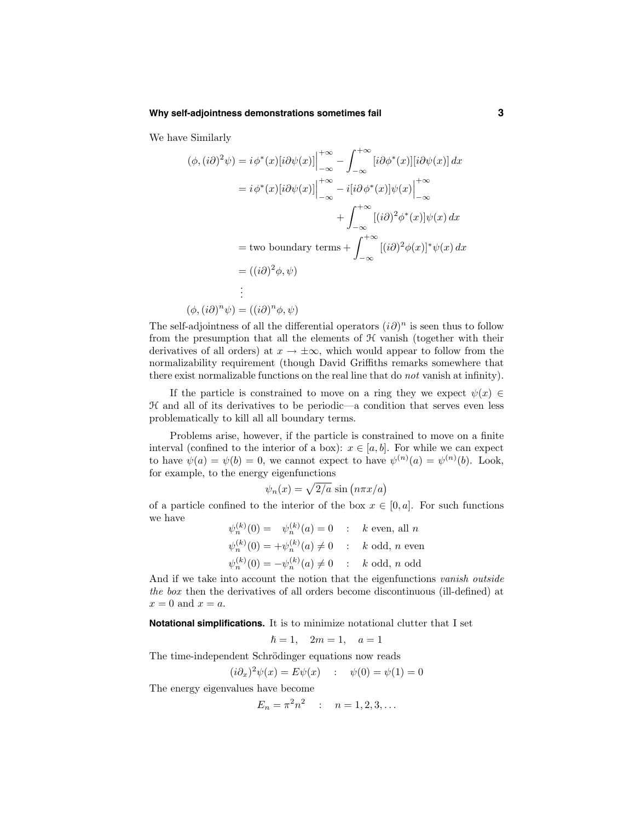## **Why self-adjointness demonstrations sometimes fail 3**

We have Similarly

$$
(\phi, (i\partial)^2 \psi) = i \phi^*(x) [i\partial \psi(x)] \Big|_{-\infty}^{+\infty} - \int_{-\infty}^{+\infty} [i\partial \phi^*(x)][i\partial \psi(x)] dx
$$
  
\n
$$
= i \phi^*(x) [i\partial \psi(x)] \Big|_{-\infty}^{+\infty} - i [i\partial \phi^*(x)] \psi(x) \Big|_{-\infty}^{+\infty}
$$
  
\n
$$
+ \int_{-\infty}^{+\infty} [(i\partial)^2 \phi^*(x)] \psi(x) dx
$$
  
\n
$$
= \text{two boundary terms} + \int_{-\infty}^{+\infty} [(i\partial)^2 \phi(x)]^* \psi(x) dx
$$
  
\n
$$
= ((i\partial)^2 \phi, \psi)
$$
  
\n:  
\n
$$
(\phi, (i\partial)^n \psi) = ((i\partial)^n \phi, \psi)
$$

The self-adjointness of all the differential operators  $(i\partial)^n$  is seen thus to follow from the presumption that all the elements of  $H$  vanish (together with their derivatives of all orders) at  $x \to \pm \infty$ , which would appear to follow from the normalizability requirement (though David Griffiths remarks somewhere that there exist normalizable functions on the real line that do not vanish at infinity).

If the particle is constrained to move on a ring they we expect  $\psi(x) \in$  $H$  and all of its derivatives to be periodic—a condition that serves even less problematically to kill all all boundary terms.

Problems arise, however, if the particle is constrained to move on a finite interval (confined to the interior of a box):  $x \in [a, b]$ . For while we can expect to have  $\psi(a) = \psi(b) = 0$ , we cannot expect to have  $\psi^{(n)}(a) = \psi^{(n)}(b)$ . Look, for example, to the energy eigenfunctions

$$
\psi_n(x) = \sqrt{2/a} \, \sin\left(n\pi x/a\right)
$$

of a particle confined to the interior of the box  $x \in [0, a]$ . For such functions we have

$$
\psi_n^{(k)}(0) = \psi_n^{(k)}(a) = 0 \quad : \quad k \text{ even, all } n
$$
  

$$
\psi_n^{(k)}(0) = +\psi_n^{(k)}(a) \neq 0 \quad : \quad k \text{ odd, } n \text{ even}
$$
  

$$
\psi_n^{(k)}(0) = -\psi_n^{(k)}(a) \neq 0 \quad : \quad k \text{ odd, } n \text{ odd}
$$

And if we take into account the notion that the eigenfunctions vanish outside the box then the derivatives of all orders become discontinuous (ill-defined) at  $x = 0$  and  $x = a$ .

**Notational simplifications.** It is to minimize notational clutter that I set

$$
\hbar = 1, \quad 2m = 1, \quad a = 1
$$

The time-independent Schrödinger equations now reads

$$
(i\partial_x)^2 \psi(x) = E\psi(x) \quad : \quad \psi(0) = \psi(1) = 0
$$

The energy eigenvalues have become

$$
E_n = \pi^2 n^2 \quad : \quad n = 1, 2, 3, \dots
$$